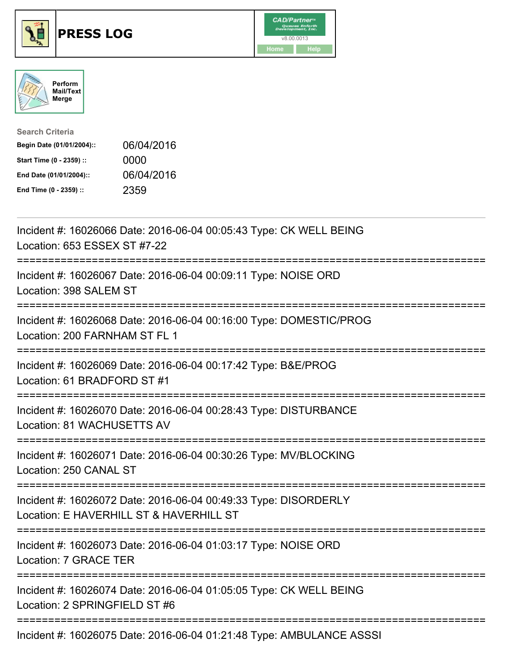





| <b>Search Criteria</b>    |            |
|---------------------------|------------|
| Begin Date (01/01/2004):: | 06/04/2016 |
| Start Time (0 - 2359) ::  | 0000       |
| End Date (01/01/2004)::   | 06/04/2016 |
| End Time (0 - 2359) ::    | 2359       |

| Incident #: 16026066 Date: 2016-06-04 00:05:43 Type: CK WELL BEING<br>Location: 653 ESSEX ST #7-22                                            |
|-----------------------------------------------------------------------------------------------------------------------------------------------|
| Incident #: 16026067 Date: 2016-06-04 00:09:11 Type: NOISE ORD<br>Location: 398 SALEM ST<br>=====================<br>======================== |
| Incident #: 16026068 Date: 2016-06-04 00:16:00 Type: DOMESTIC/PROG<br>Location: 200 FARNHAM ST FL 1                                           |
| Incident #: 16026069 Date: 2016-06-04 00:17:42 Type: B&E/PROG<br>Location: 61 BRADFORD ST #1<br>================                              |
| Incident #: 16026070 Date: 2016-06-04 00:28:43 Type: DISTURBANCE<br>Location: 81 WACHUSETTS AV                                                |
| Incident #: 16026071 Date: 2016-06-04 00:30:26 Type: MV/BLOCKING<br>Location: 250 CANAL ST                                                    |
| Incident #: 16026072 Date: 2016-06-04 00:49:33 Type: DISORDERLY<br>Location: E HAVERHILL ST & HAVERHILL ST                                    |
| Incident #: 16026073 Date: 2016-06-04 01:03:17 Type: NOISE ORD<br>Location: 7 GRACE TER                                                       |
| Incident #: 16026074 Date: 2016-06-04 01:05:05 Type: CK WELL BEING<br>Location: 2 SPRINGFIELD ST #6                                           |
| Incident #: 16026075 Date: 2016-06-04 01:21:48 Type: AMBULANCE ASSSI                                                                          |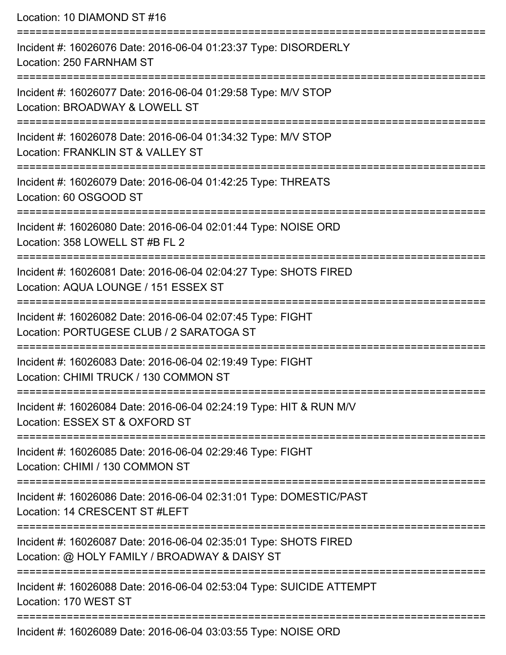Location: 10 DIAMOND ST #16 =========================================================================== Incident #: 16026076 Date: 2016-06-04 01:23:37 Type: DISORDERLY Location: 250 FARNHAM ST =========================================================================== Incident #: 16026077 Date: 2016-06-04 01:29:58 Type: M/V STOP Location: BROADWAY & LOWELL ST =========================================================================== Incident #: 16026078 Date: 2016-06-04 01:34:32 Type: M/V STOP Location: FRANKLIN ST & VALLEY ST =========================================================================== Incident #: 16026079 Date: 2016-06-04 01:42:25 Type: THREATS Location: 60 OSGOOD ST =========================================================================== Incident #: 16026080 Date: 2016-06-04 02:01:44 Type: NOISE ORD Location: 358 LOWELL ST #B FL 2 =========================================================================== Incident #: 16026081 Date: 2016-06-04 02:04:27 Type: SHOTS FIRED Location: AQUA LOUNGE / 151 ESSEX ST =========================================================================== Incident #: 16026082 Date: 2016-06-04 02:07:45 Type: FIGHT Location: PORTUGESE CLUB / 2 SARATOGA ST =========================================================================== Incident #: 16026083 Date: 2016-06-04 02:19:49 Type: FIGHT Location: CHIMI TRUCK / 130 COMMON ST =========================================================================== Incident #: 16026084 Date: 2016-06-04 02:24:19 Type: HIT & RUN M/V Location: ESSEX ST & OXFORD ST =========================================================================== Incident #: 16026085 Date: 2016-06-04 02:29:46 Type: FIGHT Location: CHIMI / 130 COMMON ST =========================================================================== Incident #: 16026086 Date: 2016-06-04 02:31:01 Type: DOMESTIC/PAST Location: 14 CRESCENT ST #LEFT =========================================================================== Incident #: 16026087 Date: 2016-06-04 02:35:01 Type: SHOTS FIRED Location: @ HOLY FAMILY / BROADWAY & DAISY ST =========================================================================== Incident #: 16026088 Date: 2016-06-04 02:53:04 Type: SUICIDE ATTEMPT Location: 170 WEST ST ===========================================================================

Incident #: 16026089 Date: 2016-06-04 03:03:55 Type: NOISE ORD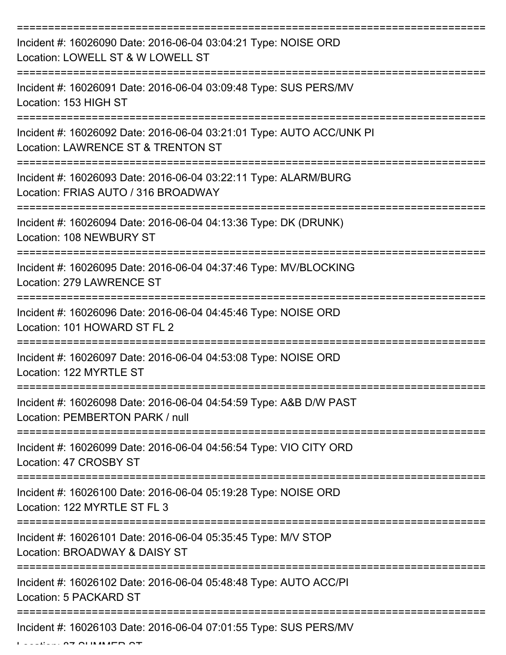| Incident #: 16026090 Date: 2016-06-04 03:04:21 Type: NOISE ORD<br>Location: LOWELL ST & W LOWELL ST        |
|------------------------------------------------------------------------------------------------------------|
| Incident #: 16026091 Date: 2016-06-04 03:09:48 Type: SUS PERS/MV<br>Location: 153 HIGH ST                  |
| Incident #: 16026092 Date: 2016-06-04 03:21:01 Type: AUTO ACC/UNK PI<br>Location: LAWRENCE ST & TRENTON ST |
| Incident #: 16026093 Date: 2016-06-04 03:22:11 Type: ALARM/BURG<br>Location: FRIAS AUTO / 316 BROADWAY     |
| Incident #: 16026094 Date: 2016-06-04 04:13:36 Type: DK (DRUNK)<br>Location: 108 NEWBURY ST                |
| Incident #: 16026095 Date: 2016-06-04 04:37:46 Type: MV/BLOCKING<br>Location: 279 LAWRENCE ST              |
| Incident #: 16026096 Date: 2016-06-04 04:45:46 Type: NOISE ORD<br>Location: 101 HOWARD ST FL 2             |
| Incident #: 16026097 Date: 2016-06-04 04:53:08 Type: NOISE ORD<br>Location: 122 MYRTLE ST                  |
| Incident #: 16026098 Date: 2016-06-04 04:54:59 Type: A&B D/W PAST<br>Location: PEMBERTON PARK / null       |
| Incident #: 16026099 Date: 2016-06-04 04:56:54 Type: VIO CITY ORD<br>Location: 47 CROSBY ST                |
| Incident #: 16026100 Date: 2016-06-04 05:19:28 Type: NOISE ORD<br>Location: 122 MYRTLE ST FL 3             |
| Incident #: 16026101 Date: 2016-06-04 05:35:45 Type: M/V STOP<br>Location: BROADWAY & DAISY ST             |
| Incident #: 16026102 Date: 2016-06-04 05:48:48 Type: AUTO ACC/PI<br>Location: 5 PACKARD ST                 |
| Incident #: 16026103 Date: 2016-06-04 07:01:55 Type: SUS PERS/MV                                           |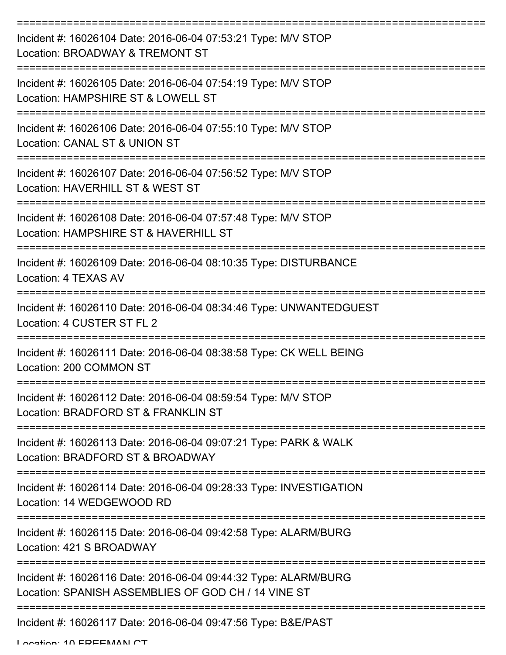| Incident #: 16026104 Date: 2016-06-04 07:53:21 Type: M/V STOP<br>Location: BROADWAY & TREMONT ST                       |
|------------------------------------------------------------------------------------------------------------------------|
| Incident #: 16026105 Date: 2016-06-04 07:54:19 Type: M/V STOP<br>Location: HAMPSHIRE ST & LOWELL ST                    |
| Incident #: 16026106 Date: 2016-06-04 07:55:10 Type: M/V STOP<br>Location: CANAL ST & UNION ST                         |
| Incident #: 16026107 Date: 2016-06-04 07:56:52 Type: M/V STOP<br>Location: HAVERHILL ST & WEST ST                      |
| Incident #: 16026108 Date: 2016-06-04 07:57:48 Type: M/V STOP<br>Location: HAMPSHIRE ST & HAVERHILL ST                 |
| Incident #: 16026109 Date: 2016-06-04 08:10:35 Type: DISTURBANCE<br>Location: 4 TEXAS AV                               |
| Incident #: 16026110 Date: 2016-06-04 08:34:46 Type: UNWANTEDGUEST<br>Location: 4 CUSTER ST FL 2                       |
| Incident #: 16026111 Date: 2016-06-04 08:38:58 Type: CK WELL BEING<br>Location: 200 COMMON ST                          |
| Incident #: 16026112 Date: 2016-06-04 08:59:54 Type: M/V STOP<br>Location: BRADFORD ST & FRANKLIN ST                   |
| Incident #: 16026113 Date: 2016-06-04 09:07:21 Type: PARK & WALK<br>Location: BRADFORD ST & BROADWAY                   |
| Incident #: 16026114 Date: 2016-06-04 09:28:33 Type: INVESTIGATION<br>Location: 14 WEDGEWOOD RD                        |
| Incident #: 16026115 Date: 2016-06-04 09:42:58 Type: ALARM/BURG<br>Location: 421 S BROADWAY                            |
| Incident #: 16026116 Date: 2016-06-04 09:44:32 Type: ALARM/BURG<br>Location: SPANISH ASSEMBLIES OF GOD CH / 14 VINE ST |
| Incident #: 16026117 Date: 2016-06-04 09:47:56 Type: B&E/PAST                                                          |

Location: 10 EDEEMAN CT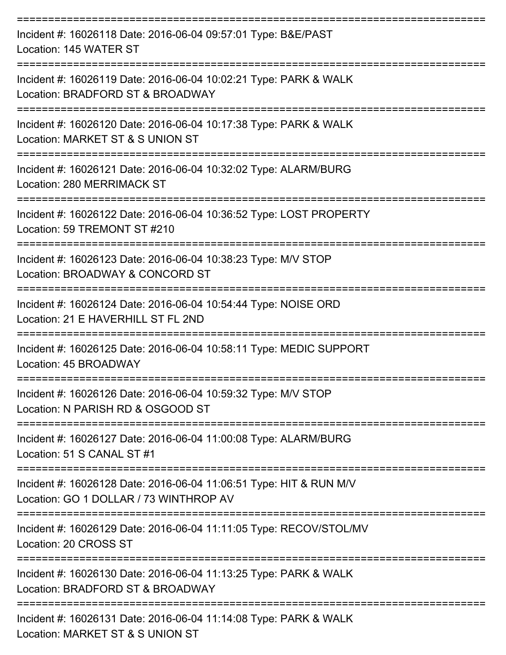| Incident #: 16026118 Date: 2016-06-04 09:57:01 Type: B&E/PAST<br>Location: 145 WATER ST                      |
|--------------------------------------------------------------------------------------------------------------|
| Incident #: 16026119 Date: 2016-06-04 10:02:21 Type: PARK & WALK<br>Location: BRADFORD ST & BROADWAY         |
| Incident #: 16026120 Date: 2016-06-04 10:17:38 Type: PARK & WALK<br>Location: MARKET ST & S UNION ST         |
| Incident #: 16026121 Date: 2016-06-04 10:32:02 Type: ALARM/BURG<br>Location: 280 MERRIMACK ST                |
| Incident #: 16026122 Date: 2016-06-04 10:36:52 Type: LOST PROPERTY<br>Location: 59 TREMONT ST #210           |
| Incident #: 16026123 Date: 2016-06-04 10:38:23 Type: M/V STOP<br>Location: BROADWAY & CONCORD ST             |
| Incident #: 16026124 Date: 2016-06-04 10:54:44 Type: NOISE ORD<br>Location: 21 E HAVERHILL ST FL 2ND         |
| Incident #: 16026125 Date: 2016-06-04 10:58:11 Type: MEDIC SUPPORT<br>Location: 45 BROADWAY                  |
| Incident #: 16026126 Date: 2016-06-04 10:59:32 Type: M/V STOP<br>Location: N PARISH RD & OSGOOD ST           |
| Incident #: 16026127 Date: 2016-06-04 11:00:08 Type: ALARM/BURG<br>Location: 51 S CANAL ST #1                |
| Incident #: 16026128 Date: 2016-06-04 11:06:51 Type: HIT & RUN M/V<br>Location: GO 1 DOLLAR / 73 WINTHROP AV |
| Incident #: 16026129 Date: 2016-06-04 11:11:05 Type: RECOV/STOL/MV<br>Location: 20 CROSS ST                  |
| Incident #: 16026130 Date: 2016-06-04 11:13:25 Type: PARK & WALK<br>Location: BRADFORD ST & BROADWAY         |
| Incident #: 16026131 Date: 2016-06-04 11:14:08 Type: PARK & WALK                                             |

Location: MARKET ST & S UNION ST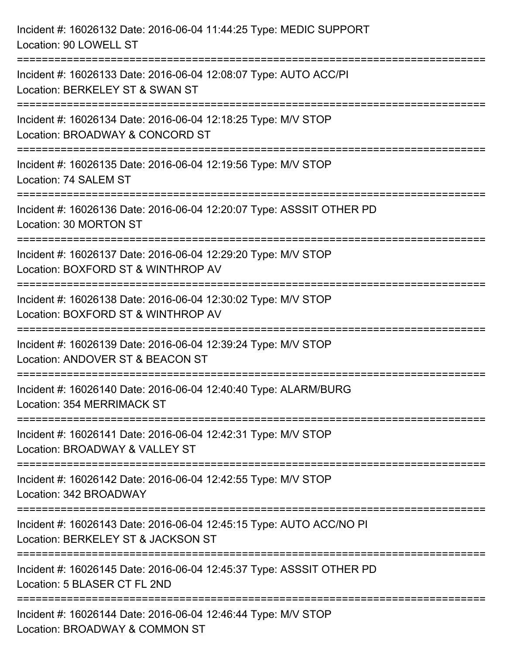| Incident #: 16026132 Date: 2016-06-04 11:44:25 Type: MEDIC SUPPORT<br>Location: 90 LOWELL ST                                          |
|---------------------------------------------------------------------------------------------------------------------------------------|
| Incident #: 16026133 Date: 2016-06-04 12:08:07 Type: AUTO ACC/PI<br>Location: BERKELEY ST & SWAN ST                                   |
| Incident #: 16026134 Date: 2016-06-04 12:18:25 Type: M/V STOP<br>Location: BROADWAY & CONCORD ST                                      |
| Incident #: 16026135 Date: 2016-06-04 12:19:56 Type: M/V STOP<br>Location: 74 SALEM ST                                                |
| Incident #: 16026136 Date: 2016-06-04 12:20:07 Type: ASSSIT OTHER PD<br>Location: 30 MORTON ST                                        |
| Incident #: 16026137 Date: 2016-06-04 12:29:20 Type: M/V STOP<br>Location: BOXFORD ST & WINTHROP AV                                   |
| ==============================<br>Incident #: 16026138 Date: 2016-06-04 12:30:02 Type: M/V STOP<br>Location: BOXFORD ST & WINTHROP AV |
| Incident #: 16026139 Date: 2016-06-04 12:39:24 Type: M/V STOP<br>Location: ANDOVER ST & BEACON ST                                     |
| Incident #: 16026140 Date: 2016-06-04 12:40:40 Type: ALARM/BURG<br>Location: 354 MERRIMACK ST                                         |
| Incident #: 16026141 Date: 2016-06-04 12:42:31 Type: M/V STOP<br>Location: BROADWAY & VALLEY ST                                       |
| Incident #: 16026142 Date: 2016-06-04 12:42:55 Type: M/V STOP<br>Location: 342 BROADWAY                                               |
| Incident #: 16026143 Date: 2016-06-04 12:45:15 Type: AUTO ACC/NO PI<br>Location: BERKELEY ST & JACKSON ST                             |
| Incident #: 16026145 Date: 2016-06-04 12:45:37 Type: ASSSIT OTHER PD<br>Location: 5 BLASER CT FL 2ND                                  |
| Incident #: 16026144 Date: 2016-06-04 12:46:44 Type: M/V STOP<br>Location: BROADWAY & COMMON ST                                       |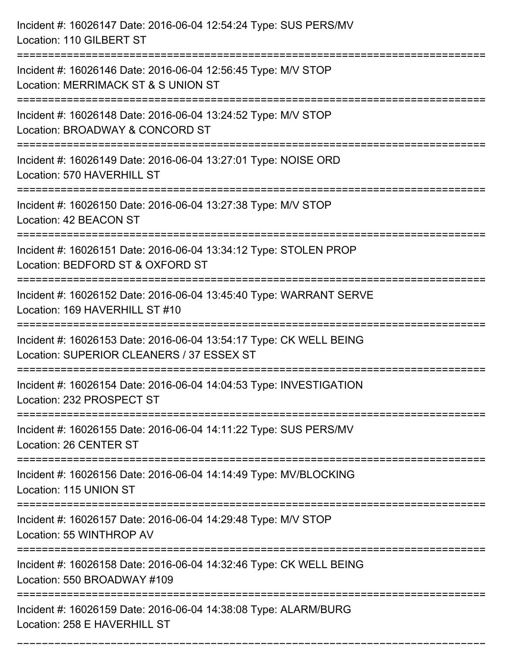| Incident #: 16026147 Date: 2016-06-04 12:54:24 Type: SUS PERS/MV<br>Location: 110 GILBERT ST                                        |
|-------------------------------------------------------------------------------------------------------------------------------------|
| Incident #: 16026146 Date: 2016-06-04 12:56:45 Type: M/V STOP<br>Location: MERRIMACK ST & S UNION ST                                |
| Incident #: 16026148 Date: 2016-06-04 13:24:52 Type: M/V STOP<br>Location: BROADWAY & CONCORD ST<br>=============================== |
| Incident #: 16026149 Date: 2016-06-04 13:27:01 Type: NOISE ORD<br>Location: 570 HAVERHILL ST                                        |
| Incident #: 16026150 Date: 2016-06-04 13:27:38 Type: M/V STOP<br>Location: 42 BEACON ST                                             |
| Incident #: 16026151 Date: 2016-06-04 13:34:12 Type: STOLEN PROP<br>Location: BEDFORD ST & OXFORD ST                                |
| Incident #: 16026152 Date: 2016-06-04 13:45:40 Type: WARRANT SERVE<br>Location: 169 HAVERHILL ST #10                                |
| Incident #: 16026153 Date: 2016-06-04 13:54:17 Type: CK WELL BEING<br>Location: SUPERIOR CLEANERS / 37 ESSEX ST                     |
| Incident #: 16026154 Date: 2016-06-04 14:04:53 Type: INVESTIGATION<br>Location: 232 PROSPECT ST                                     |
| Incident #: 16026155 Date: 2016-06-04 14:11:22 Type: SUS PERS/MV<br>Location: 26 CENTER ST                                          |
| Incident #: 16026156 Date: 2016-06-04 14:14:49 Type: MV/BLOCKING<br>Location: 115 UNION ST                                          |
| Incident #: 16026157 Date: 2016-06-04 14:29:48 Type: M/V STOP<br>Location: 55 WINTHROP AV                                           |
| Incident #: 16026158 Date: 2016-06-04 14:32:46 Type: CK WELL BEING<br>Location: 550 BROADWAY #109                                   |
| Incident #: 16026159 Date: 2016-06-04 14:38:08 Type: ALARM/BURG<br>Location: 258 E HAVERHILL ST                                     |

===========================================================================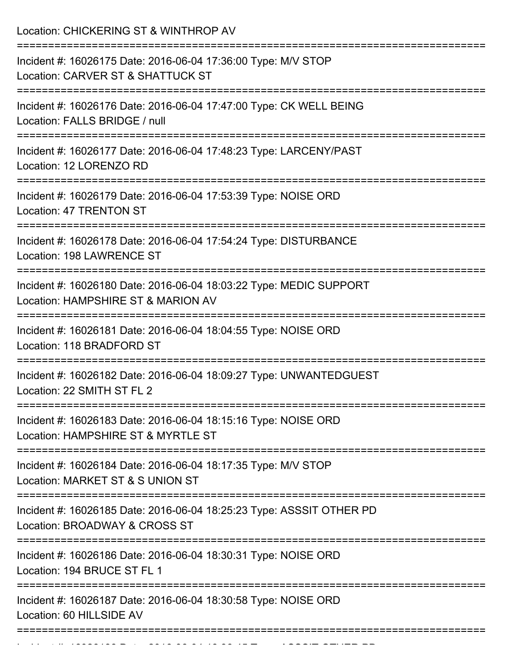Location: CHICKERING ST & WINTHROP AV =========================================================================== Incident #: 16026175 Date: 2016-06-04 17:36:00 Type: M/V STOP Location: CARVER ST & SHATTUCK ST =========================================================================== Incident #: 16026176 Date: 2016-06-04 17:47:00 Type: CK WELL BEING Location: FALLS BRIDGE / null =========================================================================== Incident #: 16026177 Date: 2016-06-04 17:48:23 Type: LARCENY/PAST Location: 12 LORENZO RD =========================================================================== Incident #: 16026179 Date: 2016-06-04 17:53:39 Type: NOISE ORD Location: 47 TRENTON ST =========================================================================== Incident #: 16026178 Date: 2016-06-04 17:54:24 Type: DISTURBANCE Location: 198 LAWRENCE ST =========================================================================== Incident #: 16026180 Date: 2016-06-04 18:03:22 Type: MEDIC SUPPORT Location: HAMPSHIRE ST & MARION AV =========================================================================== Incident #: 16026181 Date: 2016-06-04 18:04:55 Type: NOISE ORD Location: 118 BRADFORD ST =========================================================================== Incident #: 16026182 Date: 2016-06-04 18:09:27 Type: UNWANTEDGUEST Location: 22 SMITH ST FL 2 =========================================================================== Incident #: 16026183 Date: 2016-06-04 18:15:16 Type: NOISE ORD Location: HAMPSHIRF ST & MYRTLE ST =========================================================================== Incident #: 16026184 Date: 2016-06-04 18:17:35 Type: M/V STOP Location: MARKET ST & S UNION ST =========================================================================== Incident #: 16026185 Date: 2016-06-04 18:25:23 Type: ASSSIT OTHER PD Location: BROADWAY & CROSS ST =========================================================================== Incident #: 16026186 Date: 2016-06-04 18:30:31 Type: NOISE ORD Location: 194 BRUCE ST FL 1 =========================================================================== Incident #: 16026187 Date: 2016-06-04 18:30:58 Type: NOISE ORD Location: 60 HILLSIDE AV ===========================================================================

Incident #: 16026188 Date: 2016 06 04 18:36:45 Type: ASSSIT OTHER PD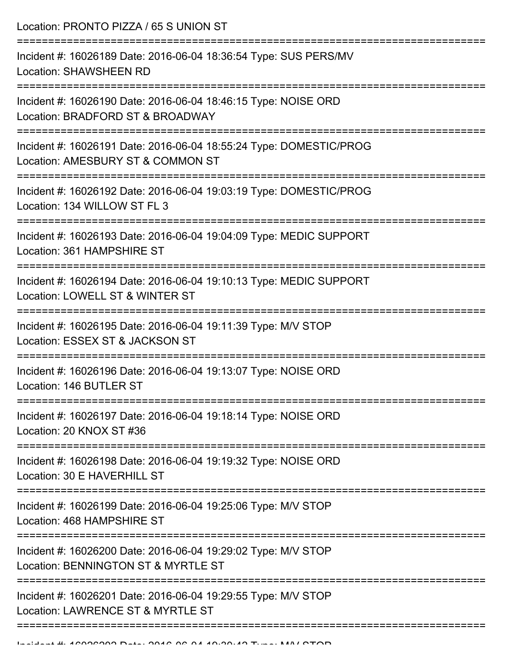Location: PRONTO PIZZA / 65 S UNION ST

| Incident #: 16026189 Date: 2016-06-04 18:36:54 Type: SUS PERS/MV<br><b>Location: SHAWSHEEN RD</b>       |
|---------------------------------------------------------------------------------------------------------|
| Incident #: 16026190 Date: 2016-06-04 18:46:15 Type: NOISE ORD<br>Location: BRADFORD ST & BROADWAY      |
| Incident #: 16026191 Date: 2016-06-04 18:55:24 Type: DOMESTIC/PROG<br>Location: AMESBURY ST & COMMON ST |
| Incident #: 16026192 Date: 2016-06-04 19:03:19 Type: DOMESTIC/PROG<br>Location: 134 WILLOW ST FL 3      |
| Incident #: 16026193 Date: 2016-06-04 19:04:09 Type: MEDIC SUPPORT<br>Location: 361 HAMPSHIRE ST        |
| Incident #: 16026194 Date: 2016-06-04 19:10:13 Type: MEDIC SUPPORT<br>Location: LOWELL ST & WINTER ST   |
| Incident #: 16026195 Date: 2016-06-04 19:11:39 Type: M/V STOP<br>Location: ESSEX ST & JACKSON ST        |
| Incident #: 16026196 Date: 2016-06-04 19:13:07 Type: NOISE ORD<br>Location: 146 BUTLER ST               |
| Incident #: 16026197 Date: 2016-06-04 19:18:14 Type: NOISE ORD<br>Location: 20 KNOX ST #36              |
| Incident #: 16026198 Date: 2016-06-04 19:19:32 Type: NOISE ORD<br>Location: 30 E HAVERHILL ST           |
| Incident #: 16026199 Date: 2016-06-04 19:25:06 Type: M/V STOP<br>Location: 468 HAMPSHIRE ST             |
| Incident #: 16026200 Date: 2016-06-04 19:29:02 Type: M/V STOP<br>Location: BENNINGTON ST & MYRTLE ST    |
| Incident #: 16026201 Date: 2016-06-04 19:29:55 Type: M/V STOP<br>Location: LAWRENCE ST & MYRTLE ST      |
|                                                                                                         |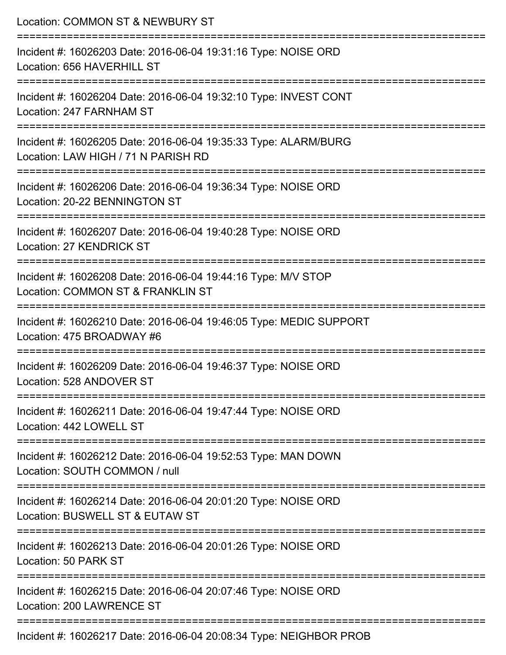| Location: COMMON ST & NEWBURY ST                                                                                        |
|-------------------------------------------------------------------------------------------------------------------------|
| Incident #: 16026203 Date: 2016-06-04 19:31:16 Type: NOISE ORD<br>Location: 656 HAVERHILL ST                            |
| Incident #: 16026204 Date: 2016-06-04 19:32:10 Type: INVEST CONT<br>Location: 247 FARNHAM ST                            |
| Incident #: 16026205 Date: 2016-06-04 19:35:33 Type: ALARM/BURG<br>Location: LAW HIGH / 71 N PARISH RD                  |
| Incident #: 16026206 Date: 2016-06-04 19:36:34 Type: NOISE ORD<br>Location: 20-22 BENNINGTON ST                         |
| Incident #: 16026207 Date: 2016-06-04 19:40:28 Type: NOISE ORD<br>Location: 27 KENDRICK ST                              |
| Incident #: 16026208 Date: 2016-06-04 19:44:16 Type: M/V STOP<br>Location: COMMON ST & FRANKLIN ST                      |
| Incident #: 16026210 Date: 2016-06-04 19:46:05 Type: MEDIC SUPPORT<br>Location: 475 BROADWAY #6                         |
| ======================<br>Incident #: 16026209 Date: 2016-06-04 19:46:37 Type: NOISE ORD<br>Location: 528 ANDOVER ST    |
| --------------------------<br>Incident #: 16026211 Date: 2016-06-04 19:47:44 Type: NOISE ORD<br>Location: 442 LOWELL ST |
| Incident #: 16026212 Date: 2016-06-04 19:52:53 Type: MAN DOWN<br>Location: SOUTH COMMON / null                          |
| Incident #: 16026214 Date: 2016-06-04 20:01:20 Type: NOISE ORD<br>Location: BUSWELL ST & EUTAW ST                       |
| Incident #: 16026213 Date: 2016-06-04 20:01:26 Type: NOISE ORD<br>Location: 50 PARK ST                                  |
| Incident #: 16026215 Date: 2016-06-04 20:07:46 Type: NOISE ORD<br>Location: 200 LAWRENCE ST                             |
| Incident #: 16026217 Date: 2016-06-04 20:08:34 Type: NEIGHBOR PROB                                                      |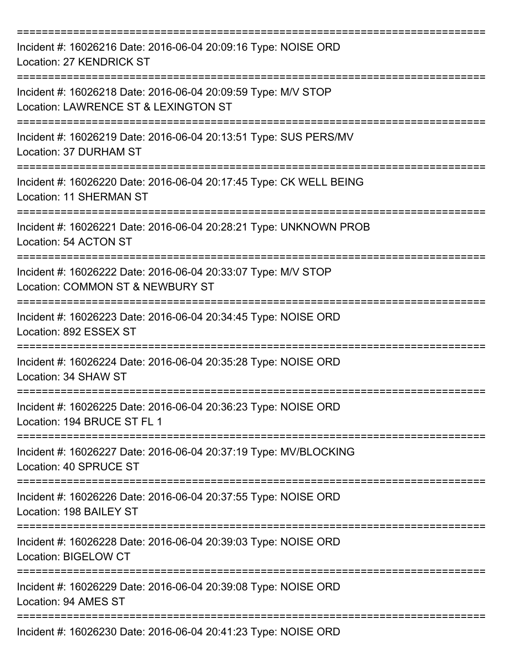| Incident #: 16026216 Date: 2016-06-04 20:09:16 Type: NOISE ORD<br>Location: 27 KENDRICK ST            |
|-------------------------------------------------------------------------------------------------------|
| Incident #: 16026218 Date: 2016-06-04 20:09:59 Type: M/V STOP<br>Location: LAWRENCE ST & LEXINGTON ST |
| Incident #: 16026219 Date: 2016-06-04 20:13:51 Type: SUS PERS/MV<br>Location: 37 DURHAM ST            |
| Incident #: 16026220 Date: 2016-06-04 20:17:45 Type: CK WELL BEING<br><b>Location: 11 SHERMAN ST</b>  |
| Incident #: 16026221 Date: 2016-06-04 20:28:21 Type: UNKNOWN PROB<br>Location: 54 ACTON ST            |
| Incident #: 16026222 Date: 2016-06-04 20:33:07 Type: M/V STOP<br>Location: COMMON ST & NEWBURY ST     |
| Incident #: 16026223 Date: 2016-06-04 20:34:45 Type: NOISE ORD<br>Location: 892 ESSEX ST              |
| Incident #: 16026224 Date: 2016-06-04 20:35:28 Type: NOISE ORD<br>Location: 34 SHAW ST                |
| Incident #: 16026225 Date: 2016-06-04 20:36:23 Type: NOISE ORD<br>Location: 194 BRUCE ST FL 1         |
| Incident #: 16026227 Date: 2016-06-04 20:37:19 Type: MV/BLOCKING<br>Location: 40 SPRUCE ST            |
| Incident #: 16026226 Date: 2016-06-04 20:37:55 Type: NOISE ORD<br>Location: 198 BAILEY ST             |
| Incident #: 16026228 Date: 2016-06-04 20:39:03 Type: NOISE ORD<br>Location: BIGELOW CT                |
| Incident #: 16026229 Date: 2016-06-04 20:39:08 Type: NOISE ORD<br>Location: 94 AMES ST                |
| Incident #: 16026230 Date: 2016-06-04 20:41:23 Type: NOISE ORD                                        |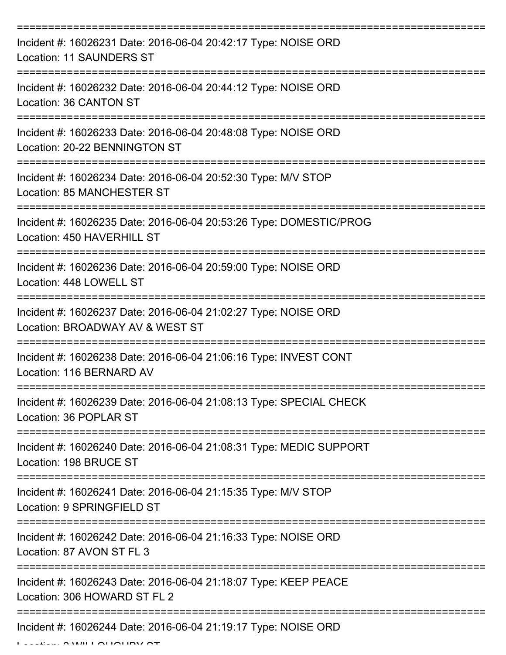| Incident #: 16026231 Date: 2016-06-04 20:42:17 Type: NOISE ORD<br><b>Location: 11 SAUNDERS ST</b>                 |
|-------------------------------------------------------------------------------------------------------------------|
| Incident #: 16026232 Date: 2016-06-04 20:44:12 Type: NOISE ORD<br>Location: 36 CANTON ST                          |
| Incident #: 16026233 Date: 2016-06-04 20:48:08 Type: NOISE ORD<br>Location: 20-22 BENNINGTON ST                   |
| Incident #: 16026234 Date: 2016-06-04 20:52:30 Type: M/V STOP<br>Location: 85 MANCHESTER ST                       |
| Incident #: 16026235 Date: 2016-06-04 20:53:26 Type: DOMESTIC/PROG<br>Location: 450 HAVERHILL ST<br>============= |
| Incident #: 16026236 Date: 2016-06-04 20:59:00 Type: NOISE ORD<br>Location: 448 LOWELL ST                         |
| Incident #: 16026237 Date: 2016-06-04 21:02:27 Type: NOISE ORD<br>Location: BROADWAY AV & WEST ST                 |
| Incident #: 16026238 Date: 2016-06-04 21:06:16 Type: INVEST CONT<br>Location: 116 BERNARD AV                      |
| Incident #: 16026239 Date: 2016-06-04 21:08:13 Type: SPECIAL CHECK<br>Location: 36 POPLAR ST                      |
| Incident #: 16026240 Date: 2016-06-04 21:08:31 Type: MEDIC SUPPORT<br>Location: 198 BRUCE ST                      |
| Incident #: 16026241 Date: 2016-06-04 21:15:35 Type: M/V STOP<br>Location: 9 SPRINGFIELD ST                       |
| Incident #: 16026242 Date: 2016-06-04 21:16:33 Type: NOISE ORD<br>Location: 87 AVON ST FL 3                       |
| Incident #: 16026243 Date: 2016-06-04 21:18:07 Type: KEEP PEACE<br>Location: 306 HOWARD ST FL 2                   |
| Incident #: 16026244 Date: 2016-06-04 21:19:17 Type: NOISE ORD                                                    |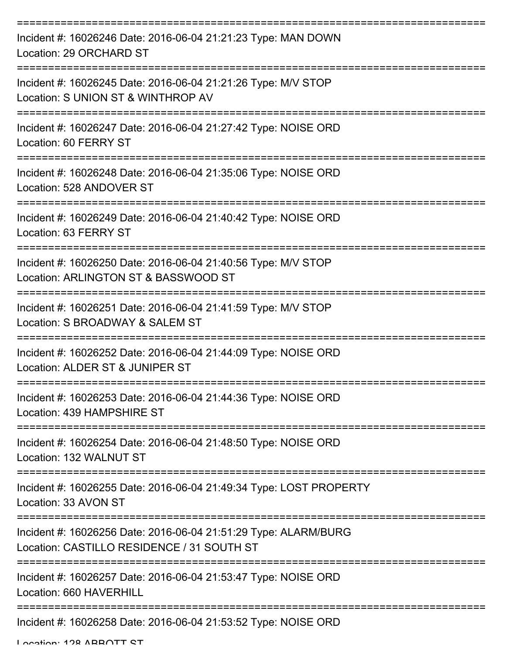| Incident #: 16026246 Date: 2016-06-04 21:21:23 Type: MAN DOWN<br>Location: 29 ORCHARD ST                      |
|---------------------------------------------------------------------------------------------------------------|
| Incident #: 16026245 Date: 2016-06-04 21:21:26 Type: M/V STOP<br>Location: S UNION ST & WINTHROP AV           |
| Incident #: 16026247 Date: 2016-06-04 21:27:42 Type: NOISE ORD<br>Location: 60 FERRY ST                       |
| Incident #: 16026248 Date: 2016-06-04 21:35:06 Type: NOISE ORD<br>Location: 528 ANDOVER ST                    |
| Incident #: 16026249 Date: 2016-06-04 21:40:42 Type: NOISE ORD<br>Location: 63 FERRY ST                       |
| Incident #: 16026250 Date: 2016-06-04 21:40:56 Type: M/V STOP<br>Location: ARLINGTON ST & BASSWOOD ST         |
| Incident #: 16026251 Date: 2016-06-04 21:41:59 Type: M/V STOP<br>Location: S BROADWAY & SALEM ST              |
| Incident #: 16026252 Date: 2016-06-04 21:44:09 Type: NOISE ORD<br>Location: ALDER ST & JUNIPER ST             |
| Incident #: 16026253 Date: 2016-06-04 21:44:36 Type: NOISE ORD<br>Location: 439 HAMPSHIRE ST                  |
| Incident #: 16026254 Date: 2016-06-04 21:48:50 Type: NOISE ORD<br>Location: 132 WALNUT ST                     |
| Incident #: 16026255 Date: 2016-06-04 21:49:34 Type: LOST PROPERTY<br>Location: 33 AVON ST                    |
| Incident #: 16026256 Date: 2016-06-04 21:51:29 Type: ALARM/BURG<br>Location: CASTILLO RESIDENCE / 31 SOUTH ST |
| Incident #: 16026257 Date: 2016-06-04 21:53:47 Type: NOISE ORD<br>Location: 660 HAVERHILL                     |
| Incident #: 16026258 Date: 2016-06-04 21:53:52 Type: NOISE ORD                                                |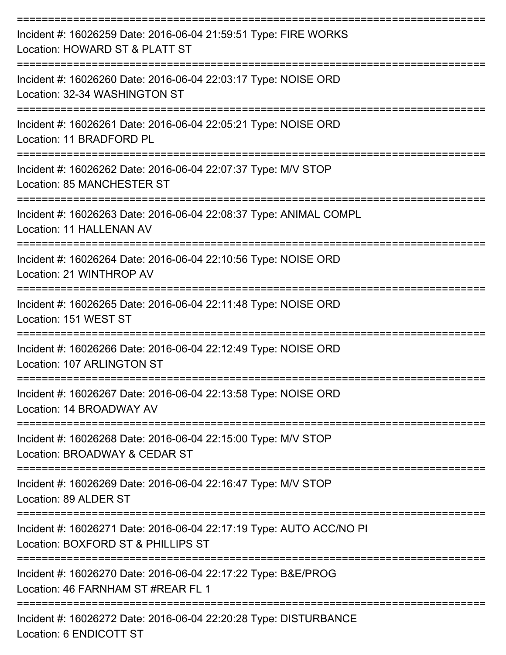| Incident #: 16026259 Date: 2016-06-04 21:59:51 Type: FIRE WORKS<br>Location: HOWARD ST & PLATT ST<br>============================== |
|-------------------------------------------------------------------------------------------------------------------------------------|
| Incident #: 16026260 Date: 2016-06-04 22:03:17 Type: NOISE ORD<br>Location: 32-34 WASHINGTON ST                                     |
| Incident #: 16026261 Date: 2016-06-04 22:05:21 Type: NOISE ORD<br>Location: 11 BRADFORD PL                                          |
| Incident #: 16026262 Date: 2016-06-04 22:07:37 Type: M/V STOP<br>Location: 85 MANCHESTER ST                                         |
| -----------------<br>Incident #: 16026263 Date: 2016-06-04 22:08:37 Type: ANIMAL COMPL<br>Location: 11 HALLENAN AV                  |
| Incident #: 16026264 Date: 2016-06-04 22:10:56 Type: NOISE ORD<br>Location: 21 WINTHROP AV                                          |
| Incident #: 16026265 Date: 2016-06-04 22:11:48 Type: NOISE ORD<br>Location: 151 WEST ST                                             |
| Incident #: 16026266 Date: 2016-06-04 22:12:49 Type: NOISE ORD<br>Location: 107 ARLINGTON ST                                        |
| Incident #: 16026267 Date: 2016-06-04 22:13:58 Type: NOISE ORD<br>Location: 14 BROADWAY AV                                          |
| Incident #: 16026268 Date: 2016-06-04 22:15:00 Type: M/V STOP<br>Location: BROADWAY & CEDAR ST                                      |
| Incident #: 16026269 Date: 2016-06-04 22:16:47 Type: M/V STOP<br>Location: 89 ALDER ST                                              |
| Incident #: 16026271 Date: 2016-06-04 22:17:19 Type: AUTO ACC/NO PI<br>Location: BOXFORD ST & PHILLIPS ST                           |
| Incident #: 16026270 Date: 2016-06-04 22:17:22 Type: B&E/PROG<br>Location: 46 FARNHAM ST #REAR FL 1                                 |
| Incident #: 16026272 Date: 2016-06-04 22:20:28 Type: DISTURBANCE<br>Location: 6 ENDICOTT ST                                         |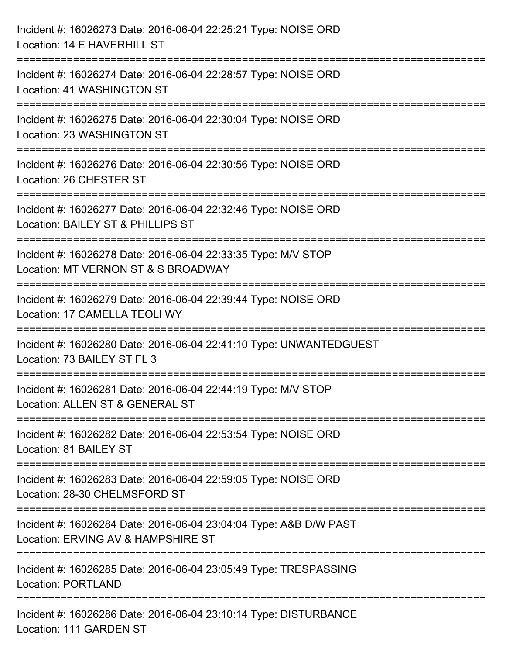| Incident #: 16026273 Date: 2016-06-04 22:25:21 Type: NOISE ORD<br>Location: 14 E HAVERHILL ST           |
|---------------------------------------------------------------------------------------------------------|
| Incident #: 16026274 Date: 2016-06-04 22:28:57 Type: NOISE ORD<br>Location: 41 WASHINGTON ST            |
| Incident #: 16026275 Date: 2016-06-04 22:30:04 Type: NOISE ORD<br>Location: 23 WASHINGTON ST            |
| Incident #: 16026276 Date: 2016-06-04 22:30:56 Type: NOISE ORD<br>Location: 26 CHESTER ST               |
| Incident #: 16026277 Date: 2016-06-04 22:32:46 Type: NOISE ORD<br>Location: BAILEY ST & PHILLIPS ST     |
| Incident #: 16026278 Date: 2016-06-04 22:33:35 Type: M/V STOP<br>Location: MT VERNON ST & S BROADWAY    |
| Incident #: 16026279 Date: 2016-06-04 22:39:44 Type: NOISE ORD<br>Location: 17 CAMELLA TEOLI WY         |
| Incident #: 16026280 Date: 2016-06-04 22:41:10 Type: UNWANTEDGUEST<br>Location: 73 BAILEY ST FL 3       |
| Incident #: 16026281 Date: 2016-06-04 22:44:19 Type: M/V STOP<br>Location: ALLEN ST & GENERAL ST        |
| Incident #: 16026282 Date: 2016-06-04 22:53:54 Type: NOISE ORD<br>Location: 81 BAILEY ST                |
| Incident #: 16026283 Date: 2016-06-04 22:59:05 Type: NOISE ORD<br>Location: 28-30 CHELMSFORD ST         |
| Incident #: 16026284 Date: 2016-06-04 23:04:04 Type: A&B D/W PAST<br>Location: ERVING AV & HAMPSHIRE ST |
| Incident #: 16026285 Date: 2016-06-04 23:05:49 Type: TRESPASSING<br><b>Location: PORTLAND</b>           |
| Incident #: 16026286 Date: 2016-06-04 23:10:14 Type: DISTURBANCE<br>Location: 111 GARDEN ST             |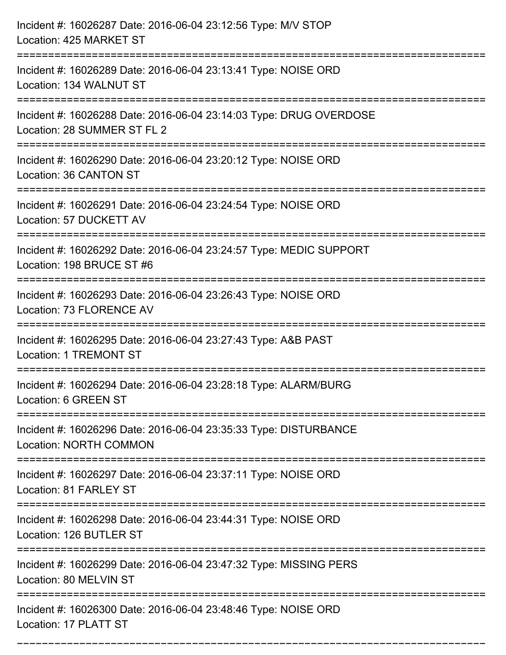| Incident #: 16026287 Date: 2016-06-04 23:12:56 Type: M/V STOP<br>Location: 425 MARKET ST                                                                                  |
|---------------------------------------------------------------------------------------------------------------------------------------------------------------------------|
| Incident #: 16026289 Date: 2016-06-04 23:13:41 Type: NOISE ORD<br>Location: 134 WALNUT ST                                                                                 |
| Incident #: 16026288 Date: 2016-06-04 23:14:03 Type: DRUG OVERDOSE<br>Location: 28 SUMMER ST FL 2<br>---------------------                                                |
| Incident #: 16026290 Date: 2016-06-04 23:20:12 Type: NOISE ORD<br>Location: 36 CANTON ST                                                                                  |
| Incident #: 16026291 Date: 2016-06-04 23:24:54 Type: NOISE ORD<br>Location: 57 DUCKETT AV                                                                                 |
| Incident #: 16026292 Date: 2016-06-04 23:24:57 Type: MEDIC SUPPORT<br>Location: 198 BRUCE ST #6                                                                           |
| Incident #: 16026293 Date: 2016-06-04 23:26:43 Type: NOISE ORD<br>Location: 73 FLORENCE AV                                                                                |
| Incident #: 16026295 Date: 2016-06-04 23:27:43 Type: A&B PAST<br><b>Location: 1 TREMONT ST</b>                                                                            |
| Incident #: 16026294 Date: 2016-06-04 23:28:18 Type: ALARM/BURG<br>Location: 6 GREEN ST                                                                                   |
| Incident #: 16026296 Date: 2016-06-04 23:35:33 Type: DISTURBANCE<br><b>Location: NORTH COMMON</b><br>----------------------------------<br>------------------------------ |
| Incident #: 16026297 Date: 2016-06-04 23:37:11 Type: NOISE ORD<br>Location: 81 FARLEY ST                                                                                  |
| Incident #: 16026298 Date: 2016-06-04 23:44:31 Type: NOISE ORD<br>Location: 126 BUTLER ST                                                                                 |
| Incident #: 16026299 Date: 2016-06-04 23:47:32 Type: MISSING PERS<br>Location: 80 MELVIN ST                                                                               |
| Incident #: 16026300 Date: 2016-06-04 23:48:46 Type: NOISE ORD<br>Location: 17 PLATT ST                                                                                   |

===========================================================================